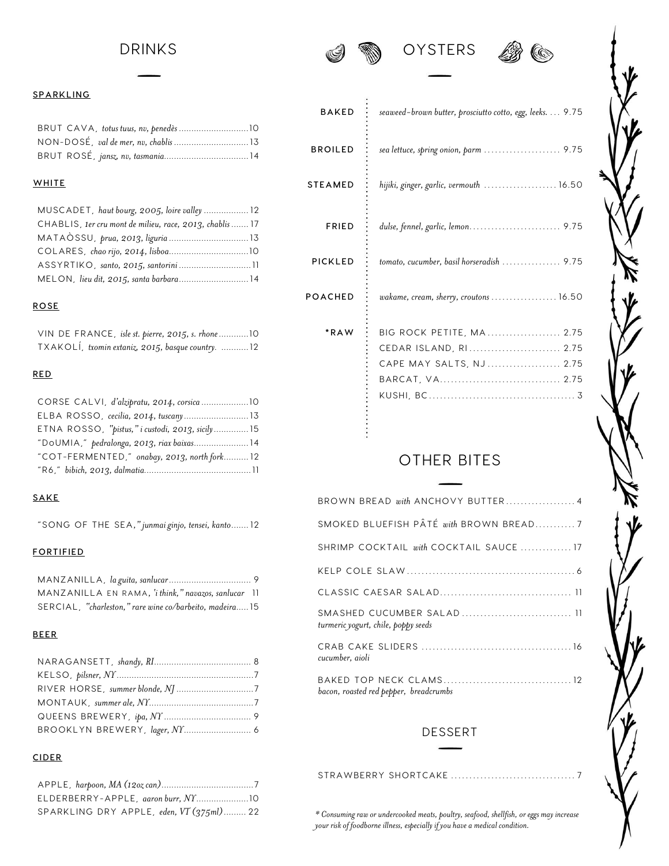## DRINKS







#### **SPARKLING**

#### **WHITE**

| MUSCADET, haut bourg, 2005, loire valley  12             |
|----------------------------------------------------------|
| CHABLIS, 1er cru mont de milieu, race, 2013, chablis  17 |
|                                                          |
|                                                          |
|                                                          |
|                                                          |
|                                                          |

#### **ROSE**

| VIN DE FRANCE, isle st. pierre, 2015, s. rhone  10 |  |
|----------------------------------------------------|--|
| TXAKOLÍ, txomin extaniz, 2015, basque country. 12  |  |

## **RED**

| ETNA ROSSO, "pistus," i custodi, 2013, sicily 15 |  |
|--------------------------------------------------|--|
| "DOUMIA," pedralonga, 2013, riax baixas 14       |  |
| "COT-FERMENTED," onabay, 2013, north fork 12     |  |
|                                                  |  |

#### **SAKE**

"SONG OF THE SEA*," junmai ginjo, tensei, kanto*....... 12

#### **FORTIFIED**

| MANZANILLA EN RAMA, 'i think," navazos, sanlucar 11     |  |
|---------------------------------------------------------|--|
| SERCIAL, "charleston," rare wine co/barbeito, madeira15 |  |

## **BEER**

## **CIDER**

| SPARKLING DRY APPLE, eden, $VT(375ml)$ 22 |  |
|-------------------------------------------|--|

| <b>BAKED</b>   | seaweed-brown butter, prosciutto cotto, egg, leeks. 9.75 |
|----------------|----------------------------------------------------------|
| <b>BROILED</b> | sea lettuce, spring onion, parm  9.75                    |
| <b>STEAMED</b> | hijiki, ginger, garlic, vermouth  16.50                  |
| <b>FRIED</b>   | dulse, fennel, garlic, lemon 9.75                        |
| <b>PICKLED</b> | tomato, cucumber, basil horseradish  9.75                |
| POACHED        | wakame, cream, sherry, croutons  16.50                   |
| *RAW           | BIG ROCK PETITE, MA  2.75                                |
|                | CEDAR ISLAND, RI 2.75                                    |
|                | CAPE MAY SALTS, NJ  2.75                                 |
|                |                                                          |
|                |                                                          |
|                |                                                          |
|                |                                                          |

# OTHER BITES

| BROWN BREAD with ANCHOVY BUTTER4                                  |
|-------------------------------------------------------------------|
| SMOKED BLUEFISH PÂTÉ with BROWN BREAD7                            |
| SHRIMP COCKTAIL with COCKTAIL SAUCE  17                           |
|                                                                   |
|                                                                   |
| SMASHED CUCUMBER SALAD  11<br>turmeric yogurt, chile, poppy seeds |
| cucumber, aioli                                                   |
| bacon, roasted red pepper, breadcrumbs                            |

## DESSERT

*\* Consuming raw or undercooked meats, poultry, seafood, shellfish, or eggs may increase* 

STRAWBERRY SHORTCAKE ................................ . . 7

*your risk of foodborne illness, especially if you have a medical condition.*